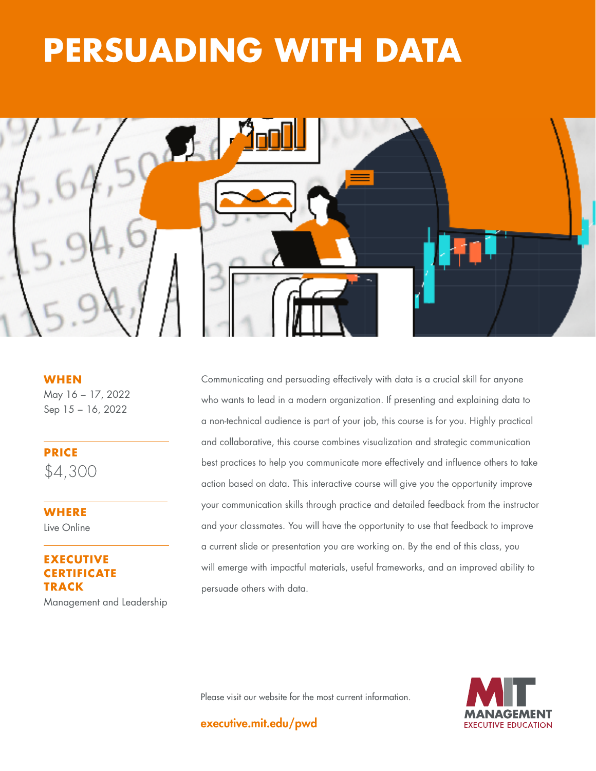# **THE GOOD STATE PERSUADING WITH DATA**



**WHEN** May 16 − 17, 2022 Sep 15 − 16, 2022

**PRICE** \$4,300

**WHERE**  Live Online

## **EXECUTIVE RTIFICATE TRACK**

Management and Leadership

Communicating and persuading effectively with data is a crucial skill for anyone who wants to lead in a modern organization. If presenting and explaining data to a non-technical audience is part of your job, this course is for you. Highly practical and collaborative, this course combines visualization and strategic communication best practices to help you communicate more effectively and influence others to take action based on data. This interactive course will give you the opportunity improve your communication skills through practice and detailed feedback from the instructor and your classmates. You will have the opportunity to use that feedback to improve a current slide or presentation you are working on. By the end of this class, you will emerge with impactful materials, useful frameworks, and an improved ability to persuade others with data.

Please visit our website for the most current information.



executive.mit.edu/pwd